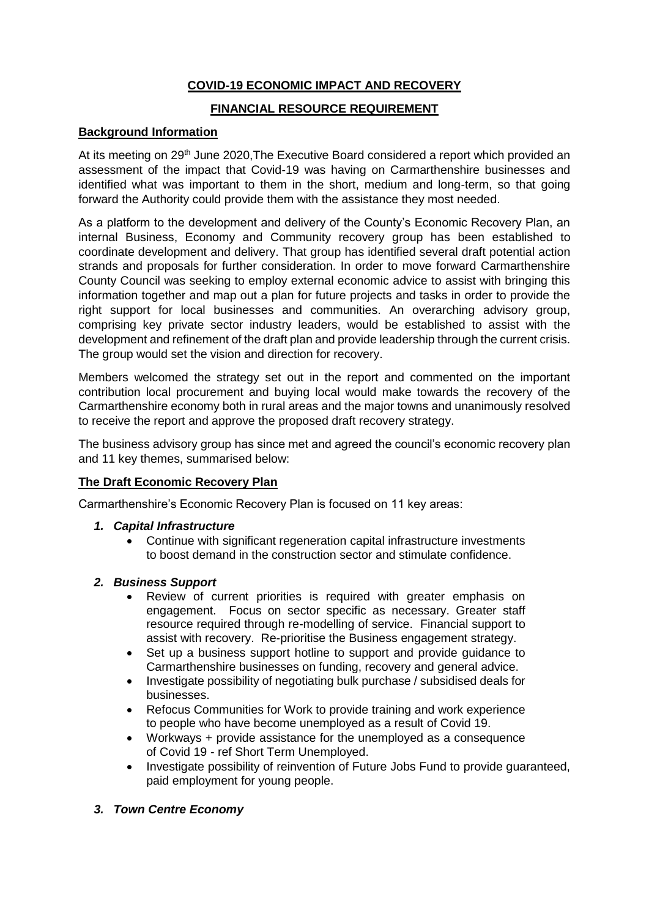# **COVID-19 ECONOMIC IMPACT AND RECOVERY**

## **FINANCIAL RESOURCE REQUIREMENT**

### **Background Information**

At its meeting on 29<sup>th</sup> June 2020, The Executive Board considered a report which provided an assessment of the impact that Covid-19 was having on Carmarthenshire businesses and identified what was important to them in the short, medium and long-term, so that going forward the Authority could provide them with the assistance they most needed.

As a platform to the development and delivery of the County's Economic Recovery Plan, an internal Business, Economy and Community recovery group has been established to coordinate development and delivery. That group has identified several draft potential action strands and proposals for further consideration. In order to move forward Carmarthenshire County Council was seeking to employ external economic advice to assist with bringing this information together and map out a plan for future projects and tasks in order to provide the right support for local businesses and communities. An overarching advisory group, comprising key private sector industry leaders, would be established to assist with the development and refinement of the draft plan and provide leadership through the current crisis. The group would set the vision and direction for recovery.

Members welcomed the strategy set out in the report and commented on the important contribution local procurement and buying local would make towards the recovery of the Carmarthenshire economy both in rural areas and the major towns and unanimously resolved to receive the report and approve the proposed draft recovery strategy.

The business advisory group has since met and agreed the council's economic recovery plan and 11 key themes, summarised below:

# **The Draft Economic Recovery Plan**

Carmarthenshire's Economic Recovery Plan is focused on 11 key areas:

- *1. Capital Infrastructure* 
	- Continue with significant regeneration capital infrastructure investments to boost demand in the construction sector and stimulate confidence.
- *2. Business Support*
	- Review of current priorities is required with greater emphasis on engagement. Focus on sector specific as necessary. Greater staff resource required through re-modelling of service. Financial support to assist with recovery. Re-prioritise the Business engagement strategy.
	- Set up a business support hotline to support and provide guidance to Carmarthenshire businesses on funding, recovery and general advice.
	- Investigate possibility of negotiating bulk purchase / subsidised deals for businesses.
	- Refocus Communities for Work to provide training and work experience to people who have become unemployed as a result of Covid 19.
	- Workways + provide assistance for the unemployed as a consequence of Covid 19 - ref Short Term Unemployed.
	- Investigate possibility of reinvention of Future Jobs Fund to provide guaranteed, paid employment for young people.

### *3. Town Centre Economy*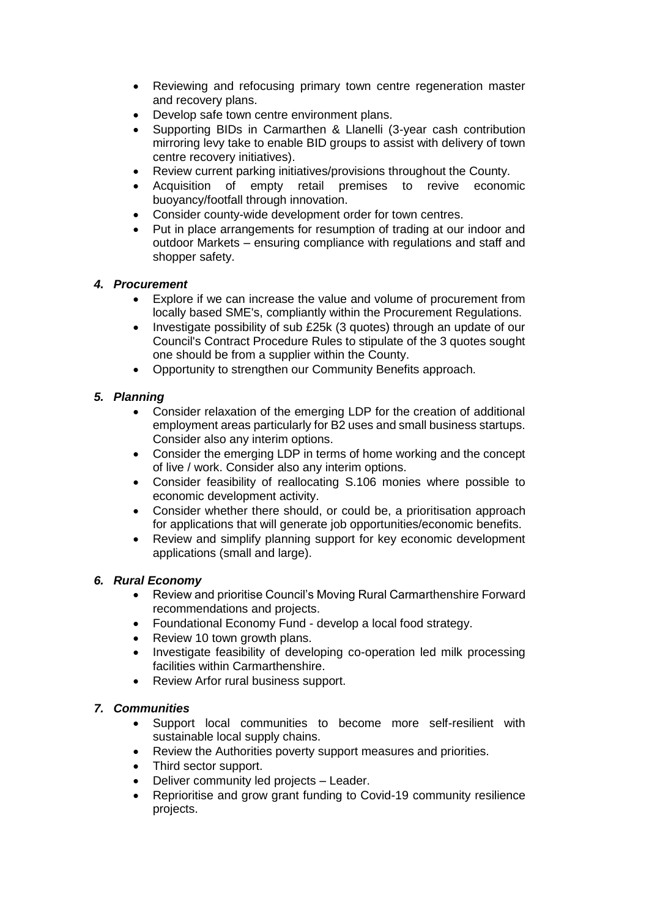- Reviewing and refocusing primary town centre regeneration master and recovery plans.
- Develop safe town centre environment plans.
- Supporting BIDs in Carmarthen & Llanelli (3-year cash contribution mirroring levy take to enable BID groups to assist with delivery of town centre recovery initiatives).
- Review current parking initiatives/provisions throughout the County.
- Acquisition of empty retail premises to revive economic buoyancy/footfall through innovation.
- Consider county-wide development order for town centres.
- Put in place arrangements for resumption of trading at our indoor and outdoor Markets – ensuring compliance with regulations and staff and shopper safety.

## *4. Procurement*

- Explore if we can increase the value and volume of procurement from locally based SME's, compliantly within the Procurement Regulations.
- Investigate possibility of sub £25k (3 quotes) through an update of our Council's Contract Procedure Rules to stipulate of the 3 quotes sought one should be from a supplier within the County.
- Opportunity to strengthen our Community Benefits approach.

# *5. Planning*

- Consider relaxation of the emerging LDP for the creation of additional employment areas particularly for B2 uses and small business startups. Consider also any interim options.
- Consider the emerging LDP in terms of home working and the concept of live / work. Consider also any interim options.
- Consider feasibility of reallocating S.106 monies where possible to economic development activity.
- Consider whether there should, or could be, a prioritisation approach for applications that will generate job opportunities/economic benefits.
- Review and simplify planning support for key economic development applications (small and large).

## *6. Rural Economy*

- Review and prioritise Council's Moving Rural Carmarthenshire Forward recommendations and projects.
- Foundational Economy Fund develop a local food strategy.
- Review 10 town growth plans.
- Investigate feasibility of developing co-operation led milk processing facilities within Carmarthenshire.
- Review Arfor rural business support.

## *7. Communities*

- Support local communities to become more self-resilient with sustainable local supply chains.
- Review the Authorities poverty support measures and priorities.
- Third sector support.
- Deliver community led projects Leader.
- Reprioritise and grow grant funding to Covid-19 community resilience projects.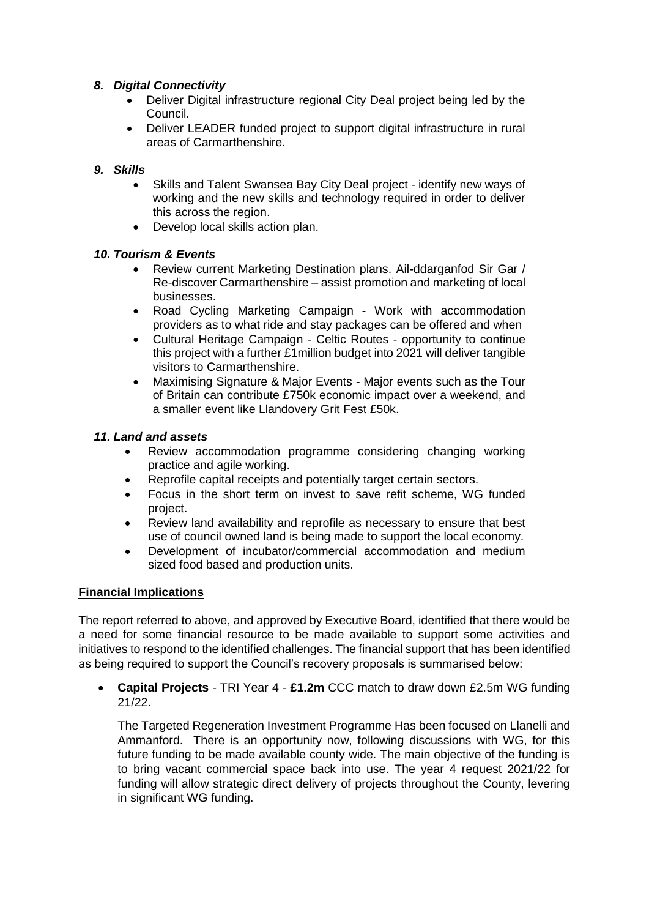## *8. Digital Connectivity*

- Deliver Digital infrastructure regional City Deal project being led by the Council.
- Deliver LEADER funded project to support digital infrastructure in rural areas of Carmarthenshire.

## *9. Skills*

- Skills and Talent Swansea Bay City Deal project identify new ways of working and the new skills and technology required in order to deliver this across the region.
- Develop local skills action plan.

### *10. Tourism & Events*

- Review current Marketing Destination plans. Ail-ddarganfod Sir Gar / Re-discover Carmarthenshire – assist promotion and marketing of local businesses.
- Road Cycling Marketing Campaign Work with accommodation providers as to what ride and stay packages can be offered and when
- Cultural Heritage Campaign Celtic Routes opportunity to continue this project with a further £1million budget into 2021 will deliver tangible visitors to Carmarthenshire.
- Maximising Signature & Major Events Major events such as the Tour of Britain can contribute £750k economic impact over a weekend, and a smaller event like Llandovery Grit Fest £50k.

## *11. Land and assets*

- Review accommodation programme considering changing working practice and agile working.
- Reprofile capital receipts and potentially target certain sectors.
- Focus in the short term on invest to save refit scheme, WG funded project.
- Review land availability and reprofile as necessary to ensure that best use of council owned land is being made to support the local economy.
- Development of incubator/commercial accommodation and medium sized food based and production units.

### **Financial Implications**

The report referred to above, and approved by Executive Board, identified that there would be a need for some financial resource to be made available to support some activities and initiatives to respond to the identified challenges. The financial support that has been identified as being required to support the Council's recovery proposals is summarised below:

 **Capital Projects** - TRI Year 4 - **£1.2m** CCC match to draw down £2.5m WG funding 21/22.

The Targeted Regeneration Investment Programme Has been focused on Llanelli and Ammanford. There is an opportunity now, following discussions with WG, for this future funding to be made available county wide. The main objective of the funding is to bring vacant commercial space back into use. The year 4 request 2021/22 for funding will allow strategic direct delivery of projects throughout the County, levering in significant WG funding.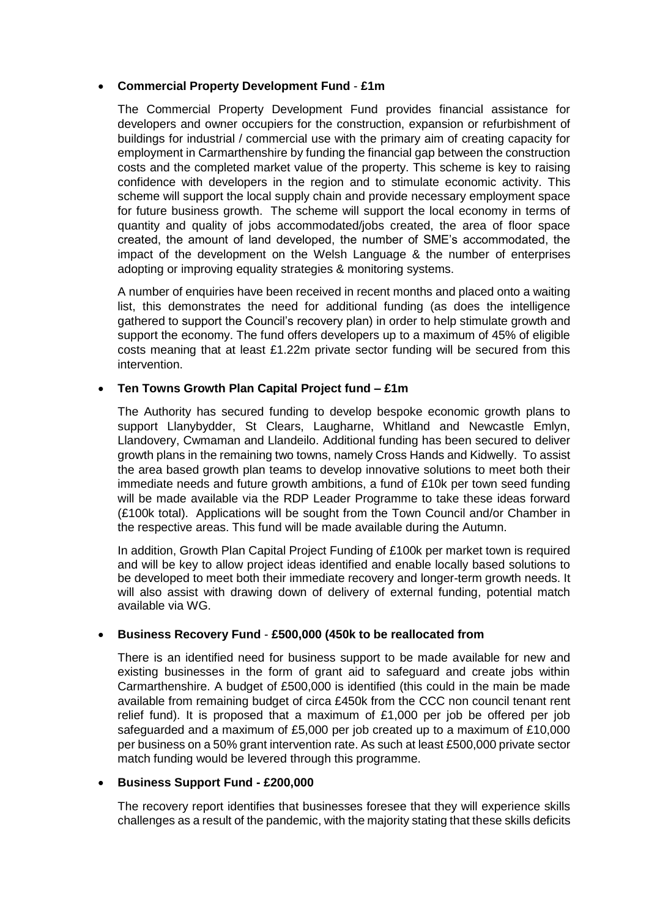### **Commercial Property Development Fund** - **£1m**

The Commercial Property Development Fund provides financial assistance for developers and owner occupiers for the construction, expansion or refurbishment of buildings for industrial / commercial use with the primary aim of creating capacity for employment in Carmarthenshire by funding the financial gap between the construction costs and the completed market value of the property. This scheme is key to raising confidence with developers in the region and to stimulate economic activity. This scheme will support the local supply chain and provide necessary employment space for future business growth. The scheme will support the local economy in terms of quantity and quality of jobs accommodated/jobs created, the area of floor space created, the amount of land developed, the number of SME's accommodated, the impact of the development on the Welsh Language & the number of enterprises adopting or improving equality strategies & monitoring systems.

A number of enquiries have been received in recent months and placed onto a waiting list, this demonstrates the need for additional funding (as does the intelligence gathered to support the Council's recovery plan) in order to help stimulate growth and support the economy. The fund offers developers up to a maximum of 45% of eligible costs meaning that at least £1.22m private sector funding will be secured from this intervention.

### **Ten Towns Growth Plan Capital Project fund – £1m**

The Authority has secured funding to develop bespoke economic growth plans to support Llanybydder, St Clears, Laugharne, Whitland and Newcastle Emlyn, Llandovery, Cwmaman and Llandeilo. Additional funding has been secured to deliver growth plans in the remaining two towns, namely Cross Hands and Kidwelly. To assist the area based growth plan teams to develop innovative solutions to meet both their immediate needs and future growth ambitions, a fund of £10k per town seed funding will be made available via the RDP Leader Programme to take these ideas forward (£100k total). Applications will be sought from the Town Council and/or Chamber in the respective areas. This fund will be made available during the Autumn.

In addition, Growth Plan Capital Project Funding of £100k per market town is required and will be key to allow project ideas identified and enable locally based solutions to be developed to meet both their immediate recovery and longer-term growth needs. It will also assist with drawing down of delivery of external funding, potential match available via WG.

### **Business Recovery Fund** - **£500,000 (450k to be reallocated from**

There is an identified need for business support to be made available for new and existing businesses in the form of grant aid to safeguard and create jobs within Carmarthenshire. A budget of £500,000 is identified (this could in the main be made available from remaining budget of circa £450k from the CCC non council tenant rent relief fund). It is proposed that a maximum of  $£1,000$  per job be offered per job safeguarded and a maximum of £5,000 per job created up to a maximum of £10,000 per business on a 50% grant intervention rate. As such at least £500,000 private sector match funding would be levered through this programme.

### **Business Support Fund - £200,000**

The recovery report identifies that businesses foresee that they will experience skills challenges as a result of the pandemic, with the majority stating that these skills deficits